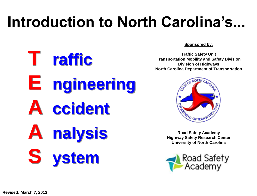# **Introduction to North Carolina's...**

**T raffic E ngineering A ccident A nalysis S ystem**

**Sponsored by:**

**Traffic Safety Unit Transportation Mobility and Safety Division Division of Highways North Carolina Department of Transportation**



**Road Safety Academy Highway Safety Research Center University of North Carolina**

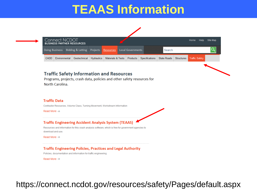#### **TEAAS Information**



#### **Traffic Safety Information and Resources**

Programs, projects, crash data, policies and other safety resources for North Carolina.

#### **Traffic Data**

Contractor Resources, Volume Class, Turning Movement, Workstream Information

Read More  $\rightarrow$ 

#### **Traffic Engineering Accident Analysis System (TEAAS)**

Resources and information for this crash analysis software, which is free for government agencies to download and use.

Read More  $\rightarrow$ 

#### **Traffic Engineering Policies, Practices and Legal Authority**

Policies, documentation and information for traffic engineering.

Read More  $\rightarrow$ 

https://connect.ncdot.gov/resources/safety/Pages/default.aspx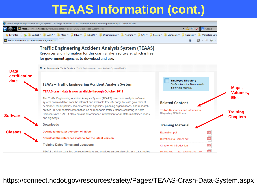#### **TEAAS Information (cont.)**



https://connect.ncdot.gov/resources/safety/Pages/TEAAS-Crash-Data-System.aspx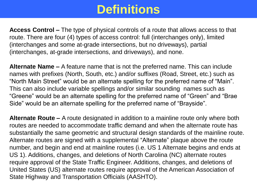#### **Definitions**

**Access Control –** The type of physical controls of a route that allows access to that route. There are four (4) types of access control: full (interchanges only), limited (interchanges and some at-grade intersections, but no driveways), partial (interchanges, at-grade intersections, and driveways), and none.

**Alternate Name –** A feature name that is not the preferred name. This can include names with prefixes (North, South, etc.) and/or suffixes (Road, Street, etc.) such as "North Main Street" would be an alternate spelling for the preferred name of "Main". This can also include variable spellings and/or similar sounding names such as "Greene" would be an alternate spelling for the preferred name of "Green" and "Brae Side" would be an alternate spelling for the preferred name of "Brayside".

**Alternate Route –** A route designated in addition to a mainline route only where both routes are needed to accommodate traffic demand and when the alternate route has substantially the same geometric and structural design standards of the mainline route. Alternate routes are signed with a supplemental "Alternate" plaque above the route number, and begin and end at mainline routes (i.e. US 1 Alternate begins and ends at US 1). Additions, changes, and deletions of North Carolina (NC) alternate routes require approval of the State Traffic Engineer. Additions, changes, and deletions of United States (US) alternate routes require approval of the American Association of State Highway and Transportation Officials (AASHTO).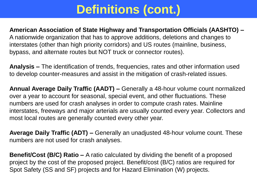#### **American Association of State Highway and Transportation Officials (AASHTO) –** A nationwide organization that has to approve additions, deletions and changes to

interstates (other than high priority corridors) and US routes (mainline, business, bypass, and alternate routes but NOT truck or connector routes).

**Analysis –** The identification of trends, frequencies, rates and other information used to develop counter-measures and assist in the mitigation of crash-related issues.

**Annual Average Daily Traffic (AADT) –** Generally a 48-hour volume count normalized over a year to account for seasonal, special event, and other fluctuations. These numbers are used for crash analyses in order to compute crash rates. Mainline interstates, freeways and major arterials are usually counted every year. Collectors and most local routes are generally counted every other year.

**Average Daily Traffic (ADT) –** Generally an unadjusted 48-hour volume count. These numbers are not used for crash analyses.

**Benefit/Cost (B/C) Ratio –** A ratio calculated by dividing the benefit of a proposed project by the cost of the proposed project. Benefit/cost (B/C) ratios are required for Spot Safety (SS and SF) projects and for Hazard Elimination (W) projects.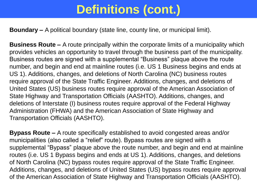**Boundary –** A political boundary (state line, county line, or municipal limit).

**Business Route –** A route principally within the corporate limits of a municipality which provides vehicles an opportunity to travel through the business part of the municipality. Business routes are signed with a supplemental "Business" plaque above the route number, and begin and end at mainline routes (i.e. US 1 Business begins and ends at US 1). Additions, changes, and deletions of North Carolina (NC) business routes require approval of the State Traffic Engineer. Additions, changes, and deletions of United States (US) business routes require approval of the American Association of State Highway and Transportation Officials (AASHTO). Additions, changes, and deletions of Interstate (I) business routes require approval of the Federal Highway Administration (FHWA) and the American Association of State Highway and Transportation Officials (AASHTO).

**Bypass Route –** A route specifically established to avoid congested areas and/or municipalities (also called a "relief" route). Bypass routes are signed with a supplemental "Bypass" plaque above the route number, and begin and end at mainline routes (i.e. US 1 Bypass begins and ends at US 1). Additions, changes, and deletions of North Carolina (NC) bypass routes require approval of the State Traffic Engineer. Additions, changes, and deletions of United States (US) bypass routes require approval of the American Association of State Highway and Transportation Officials (AASHTO).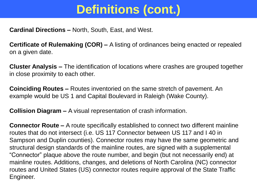**Cardinal Directions –** North, South, East, and West.

**Certificate of Rulemaking (COR) –** A listing of ordinances being enacted or repealed on a given date.

**Cluster Analysis –** The identification of locations where crashes are grouped together in close proximity to each other.

**Coinciding Routes –** Routes inventoried on the same stretch of pavement. An example would be US 1 and Capital Boulevard in Raleigh (Wake County).

**Collision Diagram –** A visual representation of crash information.

**Connector Route –** A route specifically established to connect two different mainline routes that do not intersect (i.e. US 117 Connector between US 117 and I 40 in Sampson and Duplin counties). Connector routes may have the same geometric and structural design standards of the mainline routes, are signed with a supplemental "Connector" plaque above the route number, and begin (but not necessarily end) at mainline routes. Additions, changes, and deletions of North Carolina (NC) connector routes and United States (US) connector routes require approval of the State Traffic Engineer.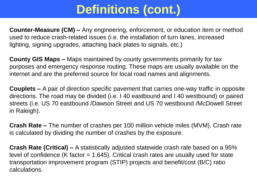**Counter-Measure (CM) –** Any engineering, enforcement, or education item or method used to reduce crash-related issues (i.e. the installation of turn lanes, increased lighting, signing upgrades, attaching back plates to signals, etc.)

**County GIS Maps –** Maps maintained by county governments primarily for tax purposes and emergency response routing. These maps are usually available on the internet and are the preferred source for local road names and alignments.

**Couplets –** A pair of direction specific pavement that carries one-way traffic in opposite directions. The road may be divided (i.e. I 40 eastbound and I 40 westbound) or paired streets (i.e. US 70 eastbound /Dawson Street and US 70 westbound /McDowell Street in Raleigh).

**Crash Rate –** The number of crashes per 100 million vehicle miles (MVM). Crash rate is calculated by dividing the number of crashes by the exposure.

**Crash Rate (Critical) –** A statistically adjusted statewide crash rate based on a 95% level of confidence (K factor  $= 1.645$ ). Critical crash rates are usually used for state transportation improvement program (STIP) projects and benefit/cost (B/C) ratio calculations.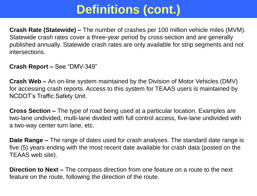**Crash Rate (Statewide) –** The number of crashes per 100 million vehicle miles (MVM). Statewide crash rates cover a three-year period by cross-section and are generally published annually. Statewide crash rates are only available for strip segments and not intersections.

**Crash Report –** See "DMV-349"

**Crash Web –** An on-line system maintained by the Division of Motor Vehicles (DMV) for accessing crash reports. Access to this system for TEAAS users is maintained by NCDOT's Traffic Safety Unit.

**Cross Section –** The type of road being used at a particular location. Examples are two-lane undivided, multi-lane divided with full control access, five-lane undivided with a two-way center turn lane, etc.

**Date Range –** The range of dates used for crash analyses. The standard date range is five (5) years ending with the most recent date available for crash data (posted on the TEAAS web site).

**Direction to Next –** The compass direction from one feature on a route to the next feature on the route, following the direction of the route.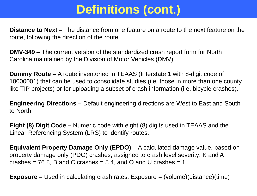**Distance to Next –** The distance from one feature on a route to the next feature on the route, following the direction of the route.

**DMV-349 –** The current version of the standardized crash report form for North Carolina maintained by the Division of Motor Vehicles (DMV).

**Dummy Route –** A route inventoried in TEAAS (Interstate 1 with 8-digit code of 10000001) that can be used to consolidate studies (i.e. those in more than one county like TIP projects) or for uploading a subset of crash information (i.e. bicycle crashes).

**Engineering Directions –** Default engineering directions are West to East and South to North.

**Eight (8) Digit Code –** Numeric code with eight (8) digits used in TEAAS and the Linear Referencing System (LRS) to identify routes.

**Equivalent Property Damage Only (EPDO) –** A calculated damage value, based on property damage only (PDO) crashes, assigned to crash level severity: K and A crashes  $= 76.8$ , B and C crashes  $= 8.4$ , and O and U crashes  $= 1$ .

**Exposure –** Used in calculating crash rates. Exposure = (volume)(distance)(time)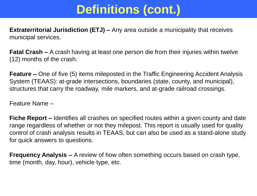**Extraterritorial Jurisdiction (ETJ) –** Any area outside a municipality that receives municipal services.

**Fatal Crash –** A crash having at least one person die from their injuries within twelve (12) months of the crash.

**Feature –** One of five (5) items mileposted in the Traffic Engineering Accident Analysis System (TEAAS): at-grade intersections, boundaries (state, county, and municipal), structures that carry the roadway, mile markers, and at-grade railroad crossings.

Feature Name –

**Fiche Report –** Identifies all crashes on specified routes within a given county and date range regardless of whether or not they milepost. This report is usually used for quality control of crash analysis results in TEAAS, but can also be used as a stand-alone study for quick answers to questions.

**Frequency Analysis –** A review of how often something occurs based on crash type, time (month, day, hour), vehicle type, etc.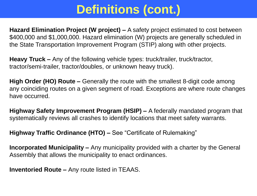**Hazard Elimination Project (W project) –** A safety project estimated to cost between \$400,000 and \$1,000,000. Hazard elimination (W) projects are generally scheduled in the State Transportation Improvement Program (STIP) along with other projects.

**Heavy Truck –** Any of the following vehicle types: truck/trailer, truck/tractor, tractor/semi-trailer, tractor/doubles, or unknown heavy truck).

**High Order (HO) Route –** Generally the route with the smallest 8-digit code among any coinciding routes on a given segment of road. Exceptions are where route changes have occurred.

**Highway Safety Improvement Program (HSIP) –** A federally mandated program that systematically reviews all crashes to identify locations that meet safety warrants.

**Highway Traffic Ordinance (HTO) –** See "Certificate of Rulemaking"

**Incorporated Municipality –** Any municipality provided with a charter by the General Assembly that allows the municipality to enact ordinances.

**Inventoried Route –** Any route listed in TEAAS.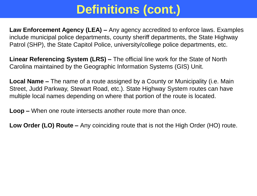**Law Enforcement Agency (LEA) –** Any agency accredited to enforce laws. Examples include municipal police departments, county sheriff departments, the State Highway Patrol (SHP), the State Capitol Police, university/college police departments, etc.

**Linear Referencing System (LRS) –** The official line work for the State of North Carolina maintained by the Geographic Information Systems (GIS) Unit.

**Local Name –** The name of a route assigned by a County or Municipality (i.e. Main Street, Judd Parkway, Stewart Road, etc.). State Highway System routes can have multiple local names depending on where that portion of the route is located.

**Loop –** When one route intersects another route more than once.

**Low Order (LO) Route –** Any coinciding route that is not the High Order (HO) route.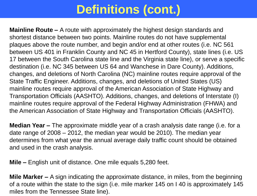**Mainline Route –** A route with approximately the highest design standards and shortest distance between two points. Mainline routes do not have supplemental plaques above the route number, and begin and/or end at other routes (i.e. NC 561 between US 401 in Franklin County and NC 45 in Hertford County), state lines (i.e. US 17 between the South Carolina state line and the Virginia state line), or serve a specific destination (i.e. NC 345 between US 64 and Wanchese in Dare County). Additions, changes, and deletions of North Carolina (NC) mainline routes require approval of the State Traffic Engineer. Additions, changes, and deletions of United States (US) mainline routes require approval of the American Association of State Highway and Transportation Officials (AASHTO). Additions, changes, and deletions of Interstate (I) mainline routes require approval of the Federal Highway Administration (FHWA) and the American Association of State Highway and Transportation Officials (AASHTO).

**Median Year –** The approximate middle year of a crash analysis date range (i.e. for a date range of 2008 – 2012, the median year would be 2010). The median year determines from what year the annual average daily traffic count should be obtained and used in the crash analysis.

**Mile –** English unit of distance. One mile equals 5,280 feet.

**Mile Marker –** A sign indicating the approximate distance, in miles, from the beginning of a route within the state to the sign (i.e. mile marker 145 on I 40 is approximately 145 miles from the Tennessee State line).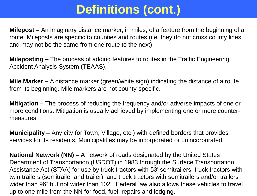**Milepost –** An imaginary distance marker, in miles, of a feature from the beginning of a route. Mileposts are specific to counties and routes (i.e. they do not cross county lines and may not be the same from one route to the next).

**Mileposting –** The process of adding features to routes in the Traffic Engineering Accident Analysis System (TEAAS).

**Mile Marker –** A distance marker (green/white sign) indicating the distance of a route from its beginning. Mile markers are not county-specific.

**Mitigation –** The process of reducing the frequency and/or adverse impacts of one or more conditions. Mitigation is usually achieved by implementing one or more countermeasures.

**Municipality –** Any city (or Town, Village, etc.) with defined borders that provides services for its residents. Municipalities may be incorporated or unincorporated.

**National Network (NN) –** A network of roads designated by the United States Department of Transportation (USDOT) in 1983 through the Surface Transportation Assistance Act (STAA) for use by truck tractors with 53' semitrailers, truck tractors with twin trailers (semitrailer and trailer), and truck tractors with semitrailers and/or trailers wider than 96" but not wider than 102". Federal law also allows these vehicles to travel up to one mile from the NN for food, fuel, repairs and lodging.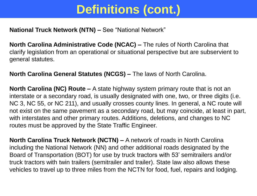#### **National Truck Network (NTN) –** See "National Network"

**North Carolina Administrative Code (NCAC) –** The rules of North Carolina that clarify legislation from an operational or situational perspective but are subservient to general statutes.

**North Carolina General Statutes (NCGS) –** The laws of North Carolina.

**North Carolina (NC) Route –** A state highway system primary route that is not an interstate or a secondary road, is usually designated with one, two, or three digits (i.e. NC 3, NC 55, or NC 211), and usually crosses county lines. In general, a NC route will not exist on the same pavement as a secondary road, but may coincide, at least in part, with interstates and other primary routes. Additions, deletions, and changes to NC routes must be approved by the State Traffic Engineer.

**North Carolina Truck Network (NCTN) –** A network of roads in North Carolina including the National Network (NN) and other additional roads designated by the Board of Transportation (BOT) for use by truck tractors with 53' semitrailers and/or truck tractors with twin trailers (semitrailer and trailer). State law also allows these vehicles to travel up to three miles from the NCTN for food, fuel, repairs and lodging.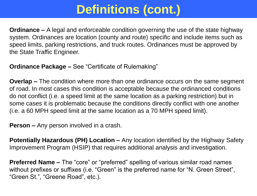**Ordinance –** A legal and enforceable condition governing the use of the state highway system. Ordinances are location (county and route) specific and include items such as speed limits, parking restrictions, and truck routes. Ordinances must be approved by the State Traffic Engineer.

**Ordinance Package –** See "Certificate of Rulemaking"

**Overlap –** The condition where more than one ordinance occurs on the same segment of road. In most cases this condition is acceptable because the ordinanced conditions do not conflict (i.e. a speed limit at the same location as a parking restriction) but in some cases it is problematic because the conditions directly conflict with one another (i.e. a 60 MPH speed limit at the same location as a 70 MPH speed limit).

**Person –** Any person involved in a crash.

**Potentially Hazardous (PH) Location –** Any location identified by the Highway Safety Improvement Program (HSIP) that requires additional analysis and investigation.

**Preferred Name –** The "core" or "preferred" spelling of various similar road names without prefixes or suffixes (i.e. "Green" is the preferred name for "N. Green Street", "Green St.", "Greene Road", etc.).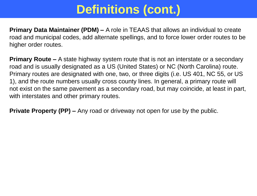**Primary Data Maintainer (PDM) –** A role in TEAAS that allows an individual to create road and municipal codes, add alternate spellings, and to force lower order routes to be higher order routes.

**Primary Route –** A state highway system route that is not an interstate or a secondary road and is usually designated as a US (United States) or NC (North Carolina) route. Primary routes are designated with one, two, or three digits (i.e. US 401, NC 55, or US 1), and the route numbers usually cross county lines. In general, a primary route will not exist on the same pavement as a secondary road, but may coincide, at least in part, with interstates and other primary routes.

**Private Property (PP) –** Any road or driveway not open for use by the public.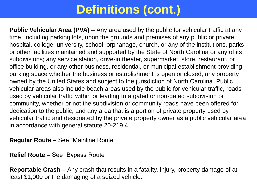**Public Vehicular Area (PVA) –** Any area used by the public for vehicular traffic at any time, including parking lots, upon the grounds and premises of any public or private hospital, college, university, school, orphanage, church, or any of the institutions, parks or other facilities maintained and supported by the State of North Carolina or any of its subdivisions; any service station, drive-in theater, supermarket, store, restaurant, or office building, or any other business, residential, or municipal establishment providing parking space whether the business or establishment is open or closed; any property owned by the United States and subject to the jurisdiction of North Carolina. Public vehicular areas also include beach areas used by the public for vehicular traffic, roads used by vehicular traffic within or leading to a gated or non-gated subdivision or community, whether or not the subdivision or community roads have been offered for dedication to the public, and any area that is a portion of private property used by vehicular traffic and designated by the private property owner as a public vehicular area in accordance with general statute 20-219.4.

**Regular Route –** See "Mainline Route"

**Relief Route –** See "Bypass Route"

**Reportable Crash –** Any crash that results in a fatality, injury, property damage of at least \$1,000 or the damaging of a seized vehicle.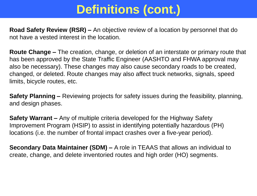**Road Safety Review (RSR) –** An objective review of a location by personnel that do not have a vested interest in the location.

**Route Change –** The creation, change, or deletion of an interstate or primary route that has been approved by the State Traffic Engineer (AASHTO and FHWA approval may also be necessary). These changes may also cause secondary roads to be created, changed, or deleted. Route changes may also affect truck networks, signals, speed limits, bicycle routes, etc.

**Safety Planning –** Reviewing projects for safety issues during the feasibility, planning, and design phases.

**Safety Warrant –** Any of multiple criteria developed for the Highway Safety Improvement Program (HSIP) to assist in identifying potentially hazardous (PH) locations (i.e. the number of frontal impact crashes over a five-year period).

**Secondary Data Maintainer (SDM) –** A role in TEAAS that allows an individual to create, change, and delete inventoried routes and high order (HO) segments.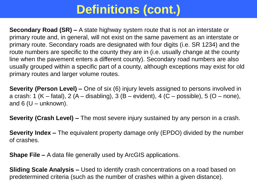**Secondary Road (SR) –** A state highway system route that is not an interstate or primary route and, in general, will not exist on the same pavement as an interstate or primary route. Secondary roads are designated with four digits (i.e. SR 1234) and the route numbers are specific to the county they are in (i.e. usually change at the county line when the pavement enters a different county). Secondary road numbers are also usually grouped within a specific part of a county, although exceptions may exist for old primary routes and larger volume routes.

**Severity (Person Level) –** One of six (6) injury levels assigned to persons involved in a crash: 1 (K – fatal), 2 (A – disabling), 3 (B – evident), 4 (C – possible), 5 (O – none), and  $6$  (U – unknown).

**Severity (Crash Level) –** The most severe injury sustained by any person in a crash.

**Severity Index –** The equivalent property damage only (EPDO) divided by the number of crashes.

**Shape File –** A data file generally used by ArcGIS applications.

**Sliding Scale Analysis –** Used to identify crash concentrations on a road based on predetermined criteria (such as the number of crashes within a given distance).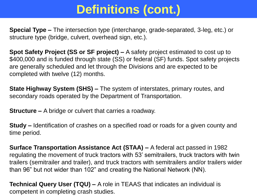**Special Type –** The intersection type (interchange, grade-separated, 3-leg, etc.) or structure type (bridge, culvert, overhead sign, etc.).

**Spot Safety Project (SS or SF project) –** A safety project estimated to cost up to \$400,000 and is funded through state (SS) or federal (SF) funds. Spot safety projects are generally scheduled and let through the Divisions and are expected to be completed with twelve (12) months.

**State Highway System (SHS) –** The system of interstates, primary routes, and secondary roads operated by the Department of Transportation.

**Structure –** A bridge or culvert that carries a roadway.

**Study –** Identification of crashes on a specified road or roads for a given county and time period.

**Surface Transportation Assistance Act (STAA) –** A federal act passed in 1982 regulating the movement of truck tractors with 53' semitrailers, truck tractors with twin trailers (semitrailer and trailer), and truck tractors with semitrailers and/or trailers wider than 96" but not wider than 102" and creating the National Network (NN).

**Technical Query User (TQU) –** A role in TEAAS that indicates an individual is competent in completing crash studies.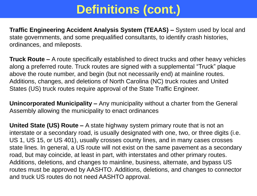**Traffic Engineering Accident Analysis System (TEAAS) –** System used by local and state governments, and some prequalified consultants, to identify crash histories, ordinances, and mileposts.

**Truck Route –** A route specifically established to direct trucks and other heavy vehicles along a preferred route. Truck routes are signed with a supplemental "Truck" plaque above the route number, and begin (but not necessarily end) at mainline routes. Additions, changes, and deletions of North Carolina (NC) truck routes and United States (US) truck routes require approval of the State Traffic Engineer.

**Unincorporated Municipality –** Any municipality without a charter from the General Assembly allowing the municipality to enact ordinances

**United State (US) Route –** A state highway system primary route that is not an interstate or a secondary road, is usually designated with one, two, or three digits (i.e. US 1, US 15, or US 401), usually crosses county lines, and in many cases crosses state lines. In general, a US route will not exist on the same pavement as a secondary road, but may coincide, at least in part, with interstates and other primary routes. Additions, deletions, and changes to mainline, business, alternate, and bypass US routes must be approved by AASHTO. Additions, deletions, and changes to connector and truck US routes do not need AASHTO approval.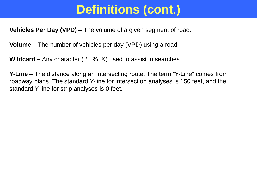**Vehicles Per Day (VPD) –** The volume of a given segment of road.

**Volume –** The number of vehicles per day (VPD) using a road.

**Wildcard –** Any character ( \* , %, &) used to assist in searches.

**Y-Line –** The distance along an intersecting route. The term "Y-Line" comes from roadway plans. The standard Y-line for intersection analyses is 150 feet, and the standard Y-line for strip analyses is 0 feet.